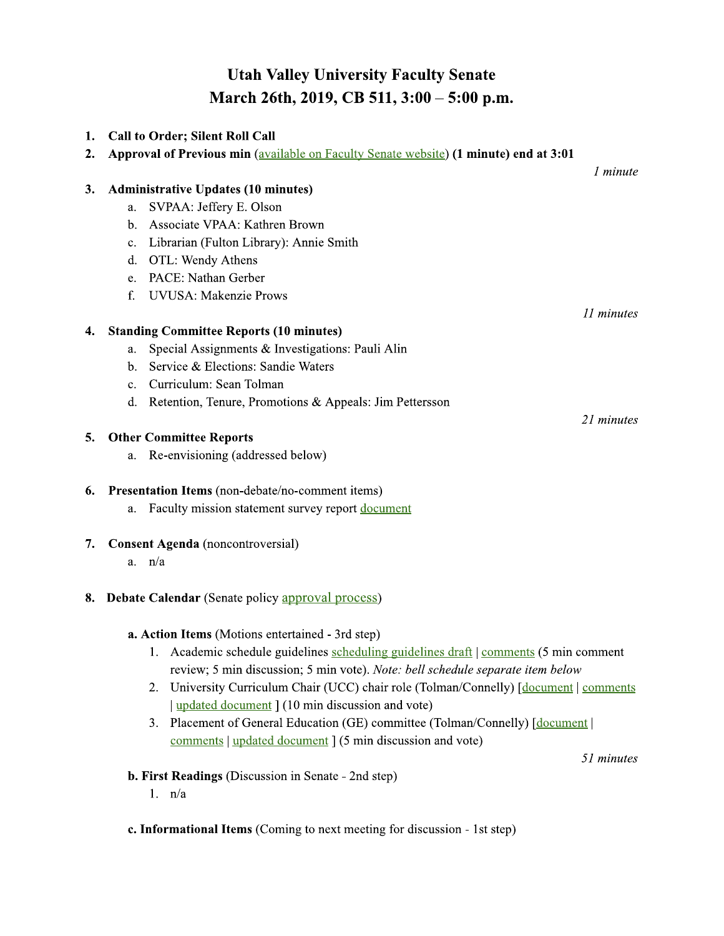# **Utah Valley University Faculty Senate** March 26th, 2019, CB 511, 3:00 - 5:00 p.m.

| 1. | <b>Call to Order; Silent Roll Call</b>                                                                                                                                  |            |
|----|-------------------------------------------------------------------------------------------------------------------------------------------------------------------------|------------|
| 2. | Approval of Previous min (available on Faculty Senate website) (1 minute) end at 3:01                                                                                   |            |
|    |                                                                                                                                                                         | 1 minute   |
| 3. | <b>Administrative Updates (10 minutes)</b>                                                                                                                              |            |
|    | SVPAA: Jeffery E. Olson<br>a.                                                                                                                                           |            |
|    | Associate VPAA: Kathren Brown<br>b.                                                                                                                                     |            |
|    | Librarian (Fulton Library): Annie Smith<br>c.                                                                                                                           |            |
|    | OTL: Wendy Athens<br>d.                                                                                                                                                 |            |
|    | PACE: Nathan Gerber<br>e.                                                                                                                                               |            |
|    | <b>UVUSA: Makenzie Prows</b><br>f.                                                                                                                                      |            |
|    |                                                                                                                                                                         | 11 minutes |
| 4. | <b>Standing Committee Reports (10 minutes)</b>                                                                                                                          |            |
|    | Special Assignments & Investigations: Pauli Alin<br>a.                                                                                                                  |            |
|    | Service & Elections: Sandie Waters<br>b.                                                                                                                                |            |
|    | Curriculum: Sean Tolman<br>$\mathbf{c}$ .                                                                                                                               |            |
|    | Retention, Tenure, Promotions & Appeals: Jim Pettersson<br>d.                                                                                                           |            |
|    |                                                                                                                                                                         | 21 minutes |
| 5. | <b>Other Committee Reports</b>                                                                                                                                          |            |
|    | Re-envisioning (addressed below)<br>a.                                                                                                                                  |            |
| 6. | Presentation Items (non-debate/no-comment items)                                                                                                                        |            |
|    | Faculty mission statement survey report document<br>a.                                                                                                                  |            |
| 7. | <b>Consent Agenda</b> (noncontroversial)                                                                                                                                |            |
|    | $a.$ $n/a$                                                                                                                                                              |            |
|    |                                                                                                                                                                         |            |
|    | <b>8. Debate Calendar</b> (Senate policy approval process)                                                                                                              |            |
|    |                                                                                                                                                                         |            |
|    | a. Action Items (Motions entertained - 3rd step)                                                                                                                        |            |
|    | 1. Academic schedule guidelines scheduling guidelines draft   comments (5 min comment<br>review; 5 min discussion; 5 min vote). Note: bell schedule separate item below |            |
|    | University Curriculum Chair (UCC) chair role (Tolman/Connelly) [document] comments<br>2.                                                                                |            |
|    | updated document 1 (10 min discussion and vote)                                                                                                                         |            |
|    | 3. Placement of General Education (GE) committee (Tolman/Connelly) [document]                                                                                           |            |
|    | comments   updated document ] (5 min discussion and vote)                                                                                                               |            |
|    |                                                                                                                                                                         | 51 minutes |
|    | <b>b. First Readings</b> (Discussion in Senate - 2nd step)                                                                                                              |            |
|    | 1. n/a                                                                                                                                                                  |            |

c. Informational Items (Coming to next meeting for discussion - 1st step)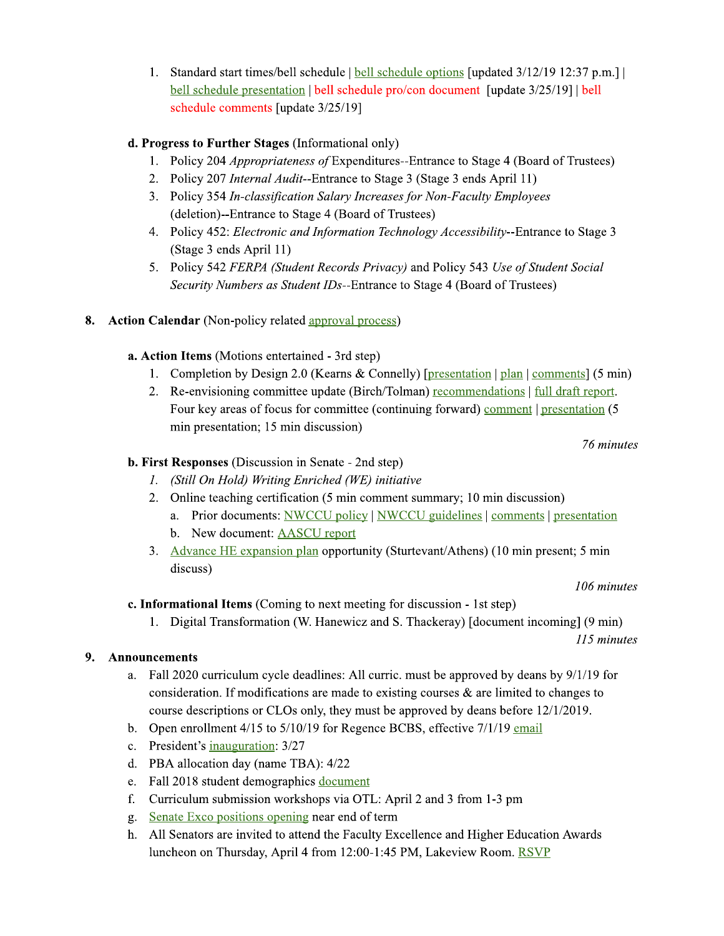1. Standard start times/bell schedule | bell schedule options [updated 3/12/19 12:37 p.m.] | bell schedule presentation | bell schedule pro/con document [update 3/25/19] | bell schedule comments [update 3/25/19]

## d. Progress to Further Stages (Informational only)

- 1. Policy 204 *Appropriateness of* Expenditures--Entrance to Stage 4 (Board of Trustees)
- 2. Policy 207 *Internal Audit*--Entrance to Stage 3 (Stage 3 ends April 11)
- 3. Policy 354 In-classification Salary Increases for Non-Faculty Employees (deletion)--Entrance to Stage 4 (Board of Trustees)
- 4. Policy 452: Electronic and Information Technology Accessibility--Entrance to Stage 3 (Stage 3 ends April 11)
- 5. Policy 542 FERPA (Student Records Privacy) and Policy 543 Use of Student Social Security Numbers as Student IDs--Entrance to Stage 4 (Board of Trustees)

## 8. Action Calendar (Non-policy related approval process)

## a. Action Items (Motions entertained - 3rd step)

- 1. Completion by Design 2.0 (Kearns & Connelly) [presentation | plan | comments]  $(5 \text{ min})$
- 2. Re-envisioning committee update (Birch/Tolman) recommendations | full draft report. Four key areas of focus for committee (continuing forward) comment | presentation (5 min presentation; 15 min discussion)

76 minutes

## **b. First Responses** (Discussion in Senate - 2nd step)

- 1. (Still On Hold) Writing Enriched (WE) initiative
- 2. Online teaching certification (5 min comment summary; 10 min discussion)
	- a. Prior documents: NWCCU policy | NWCCU guidelines | comments | presentation
	- b. New document: AASCU report
- 3. Advance HE expansion plan opportunity (Sturtevant/Athens) (10 min present; 5 min discuss)

106 minutes

c. Informational Items (Coming to next meeting for discussion - 1st step)

1. Digital Transformation (W. Hanewicz and S. Thackeray) [document incoming] (9 min)

115 minutes

## 9. Announcements

- a. Fall 2020 curriculum cycle deadlines: All curric, must be approved by deans by 9/1/19 for consideration. If modifications are made to existing courses  $\&$  are limited to changes to course descriptions or CLOs only, they must be approved by deans before 12/1/2019.
- b. Open enrollment 4/15 to 5/10/19 for Regence BCBS, effective 7/1/19 email
- c. President's inauguration: 3/27
- d. PBA allocation day (name TBA):  $4/22$
- e. Fall 2018 student demographics document
- f. Curriculum submission workshops via OTL: April 2 and 3 from 1-3 pm
- g. Senate Exco positions opening near end of term
- h. All Senators are invited to attend the Faculty Excellence and Higher Education Awards luncheon on Thursday, April 4 from 12:00-1:45 PM, Lakeview Room. RSVP